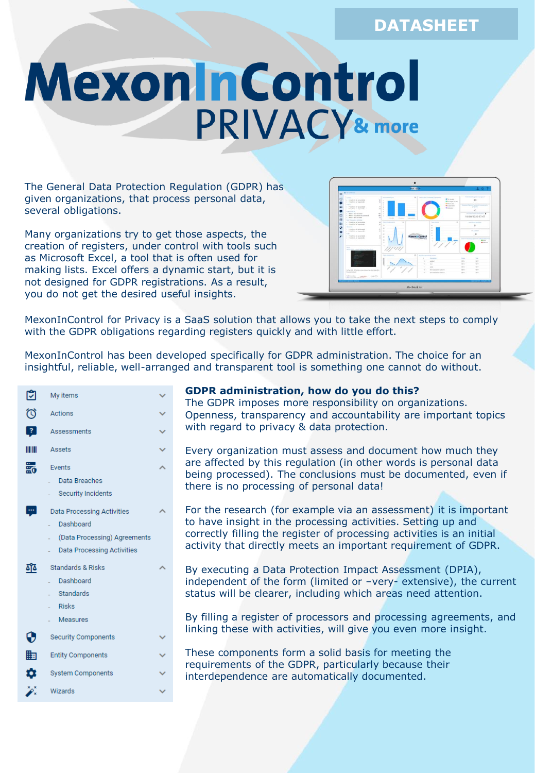# **DATASHEET**

# MexoninControl PRIVACY& more

The General Data Protection Regulation (GDPR) has given organizations, that process personal data, several obligations.

Many organizations try to get those aspects, the creation of registers, under control with tools such as Microsoft Excel, a tool that is often used for making lists. Excel offers a dynamic start, but it is not designed for GDPR registrations. As a result, you do not get the desired useful insights.

|                                                                                               |                                                  | <b>STATISTICS</b>                                             |                                               | 207                                   |
|-----------------------------------------------------------------------------------------------|--------------------------------------------------|---------------------------------------------------------------|-----------------------------------------------|---------------------------------------|
| <b>M</b> Hickoring                                                                            |                                                  |                                                               |                                               |                                       |
| ۰                                                                                             |                                                  |                                                               |                                               |                                       |
| <b>BUREAU COLLECT</b><br>to<br>a. For whole case autouriness.<br>. For what I was engineering | To the process of<br>$18 - 1$<br>ü.<br>u.        | All 11 Hotel Lane Processed Automobile                        | <b>Ally over</b><br><b>B</b> Business in case | Two street spots it proposed<br>34    |
| <b>STARR</b>                                                                                  | <br>$+1$                                         |                                                               | <b>What's you</b><br>· Subpendent             | <b>Service Support of Advertising</b> |
| a . Yet when two excessibility<br><b>HR</b><br>a Val about cars exposition                    | $-0.14$                                          |                                                               | * means                                       | prigram.<br>$\overline{z}$            |
| ÷<br><b>Jassiners</b><br>a distributed is around                                              | ٠<br>$\sim$<br>ı.                                |                                                               |                                               | <b>STERN COLLEGE</b>                  |
| b Which counsel to be accessed<br>e<br>a  when I want is select<br>a                          | $\sim$<br>×<br><b>Service</b><br><b>Contract</b> | <b>Subscription</b>                                           |                                               | 18/08/2020 07:47                      |
| Exis Trevening Artistics<br>a - har whele cars as consistent                                  | ×<br>a 17 hours that more than                   | <b>Services</b>                                               | ×                                             | Pain street but high.                 |
| m<br>a . For office (any teachership<br><b>SEARCH</b>                                         | $\sim$<br>۰                                      | $\sim$                                                        |                                               | $\circ$                               |
| e<br>a city which has accommon                                                                | $\sim$<br>ĸ                                      | $\sim$<br>٠                                                   |                                               | <b>History</b>                        |
| a Turakok and signments<br>o<br>dake.                                                         | ×<br>×                                           | ×                                                             |                                               | ×                                     |
| o da which raci exceeding<br>a Valencia can accomplie                                         | ٠                                                | $\alpha$<br><b>Mexon Control</b><br>$\sim$<br><b>LIMINACE</b> |                                               |                                       |
| blank.<br>the U.S. (NOR., A second section that from those)                                   | ٠                                                |                                                               |                                               | <b>B</b> Ethiopi                      |
|                                                                                               | <b>Service</b>                                   | <b>R</b>   N154 porty and<br><b>Service</b><br>$\sim$         |                                               | <b>Side</b><br>$\sim$                 |
|                                                                                               |                                                  | $\mathbf{u}$<br>solid of                                      |                                               | <b>SEW</b><br><b>SET</b>              |
|                                                                                               |                                                  | $\sim$<br>$-$<br>12.5<br>14.0                                 |                                               | 16H<br>tart.<br>w.<br>14H             |
| On the 240 of its orbit as a construction in the channel of the                               |                                                  | ×                                                             | 10-Justineries artis 11                       | <b>MA</b><br><b>SEC</b>               |
| Ala indicates of<br>-----                                                                     |                                                  | $\sim$                                                        | Sit Joseph Arizon II                          | <b>SET</b><br>telet.                  |
| <b>Refirerance</b><br>Constitution of                                                         | count by                                         |                                                               |                                               |                                       |
| <b><i><u><u>A AMERICAN MOTOR</u></u></i></b>                                                  |                                                  |                                                               |                                               | <b>IMPOUNDED ANDRESS</b>              |
|                                                                                               |                                                  |                                                               |                                               |                                       |
|                                                                                               |                                                  | MacBook Air                                                   |                                               |                                       |
|                                                                                               |                                                  |                                                               |                                               |                                       |

MexonInControl for Privacy is a SaaS solution that allows you to take the next steps to comply with the GDPR obligations regarding registers quickly and with little effort.

MexonInControl has been developed specifically for GDPR administration. The choice for an insightful, reliable, well-arranged and transparent tool is something one cannot do without.

| เখ             | My items                                                                                                            |  |
|----------------|---------------------------------------------------------------------------------------------------------------------|--|
| $\circledcirc$ | Actions                                                                                                             |  |
| 3              | Assessments                                                                                                         |  |
|                | Assets                                                                                                              |  |
| 的最             | Events<br>Data Breaches<br><b>Security Incidents</b>                                                                |  |
| ÷              | <b>Data Processing Activities</b><br>Dashboard<br>(Data Processing) Agreements<br><b>Data Processing Activities</b> |  |
| <u> 170</u>    | <b>Standards &amp; Risks</b><br>Dashboard<br>Standards<br><b>Risks</b><br><b>Measures</b>                           |  |
| ⊕              | <b>Security Components</b>                                                                                          |  |
| 齟              | <b>Entity Components</b>                                                                                            |  |
| ✿              | <b>System Components</b>                                                                                            |  |
|                | Wizards                                                                                                             |  |

#### **GDPR administration, how do you do this?**

The GDPR imposes more responsibility on organizations. Openness, transparency and accountability are important topics with regard to privacy & data protection.

Every organization must assess and document how much they are affected by this regulation (in other words is personal data being processed). The conclusions must be documented, even if there is no processing of personal data!

- For the research (for example via an assessment) it is important to have insight in the processing activities. Setting up and correctly filling the register of processing activities is an initial activity that directly meets an important requirement of GDPR.
- By executing a Data Protection Impact Assessment (DPIA), independent of the form (limited or –very- extensive), the current status will be clearer, including which areas need attention.

By filling a register of processors and processing agreements, and linking these with activities, will give you even more insight.

These components form a solid basis for meeting the requirements of the GDPR, particularly because their interdependence are automatically documented.